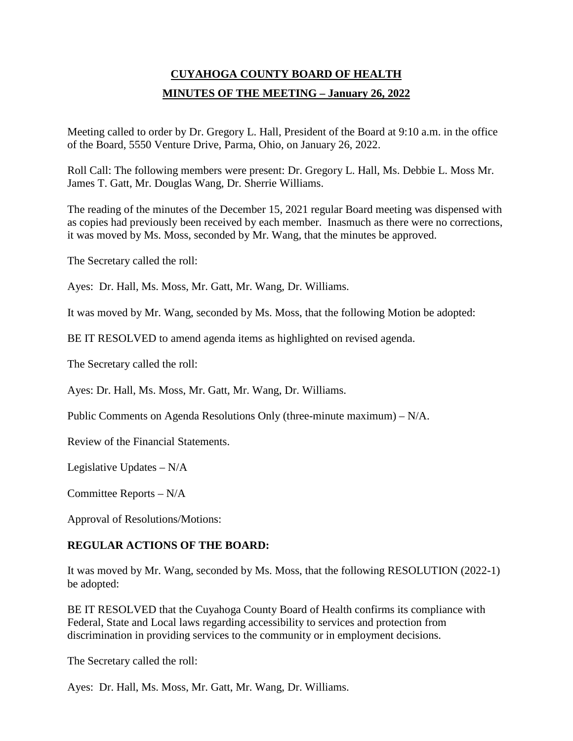# **CUYAHOGA COUNTY BOARD OF HEALTH MINUTES OF THE MEETING – January 26, 2022**

Meeting called to order by Dr. Gregory L. Hall, President of the Board at 9:10 a.m. in the office of the Board, 5550 Venture Drive, Parma, Ohio, on January 26, 2022.

Roll Call: The following members were present: Dr. Gregory L. Hall, Ms. Debbie L. Moss Mr. James T. Gatt, Mr. Douglas Wang, Dr. Sherrie Williams.

The reading of the minutes of the December 15, 2021 regular Board meeting was dispensed with as copies had previously been received by each member. Inasmuch as there were no corrections, it was moved by Ms. Moss, seconded by Mr. Wang, that the minutes be approved.

The Secretary called the roll:

Ayes: Dr. Hall, Ms. Moss, Mr. Gatt, Mr. Wang, Dr. Williams.

It was moved by Mr. Wang, seconded by Ms. Moss, that the following Motion be adopted:

BE IT RESOLVED to amend agenda items as highlighted on revised agenda.

The Secretary called the roll:

Ayes: Dr. Hall, Ms. Moss, Mr. Gatt, Mr. Wang, Dr. Williams.

Public Comments on Agenda Resolutions Only (three-minute maximum) – N/A.

Review of the Financial Statements.

Legislative Updates – N/A

Committee Reports – N/A

Approval of Resolutions/Motions:

## **REGULAR ACTIONS OF THE BOARD:**

It was moved by Mr. Wang, seconded by Ms. Moss, that the following RESOLUTION (2022-1) be adopted:

BE IT RESOLVED that the Cuyahoga County Board of Health confirms its compliance with Federal, State and Local laws regarding accessibility to services and protection from discrimination in providing services to the community or in employment decisions.

The Secretary called the roll:

Ayes: Dr. Hall, Ms. Moss, Mr. Gatt, Mr. Wang, Dr. Williams.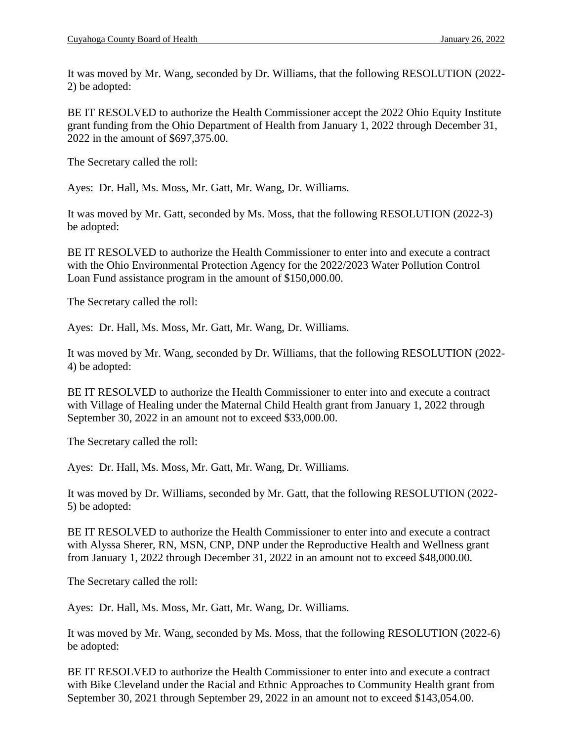It was moved by Mr. Wang, seconded by Dr. Williams, that the following RESOLUTION (2022- 2) be adopted:

BE IT RESOLVED to authorize the Health Commissioner accept the 2022 Ohio Equity Institute grant funding from the Ohio Department of Health from January 1, 2022 through December 31, 2022 in the amount of \$697,375.00.

The Secretary called the roll:

Ayes: Dr. Hall, Ms. Moss, Mr. Gatt, Mr. Wang, Dr. Williams.

It was moved by Mr. Gatt, seconded by Ms. Moss, that the following RESOLUTION (2022-3) be adopted:

BE IT RESOLVED to authorize the Health Commissioner to enter into and execute a contract with the Ohio Environmental Protection Agency for the 2022/2023 Water Pollution Control Loan Fund assistance program in the amount of \$150,000.00.

The Secretary called the roll:

Ayes: Dr. Hall, Ms. Moss, Mr. Gatt, Mr. Wang, Dr. Williams.

It was moved by Mr. Wang, seconded by Dr. Williams, that the following RESOLUTION (2022- 4) be adopted:

BE IT RESOLVED to authorize the Health Commissioner to enter into and execute a contract with Village of Healing under the Maternal Child Health grant from January 1, 2022 through September 30, 2022 in an amount not to exceed \$33,000.00.

The Secretary called the roll:

Ayes: Dr. Hall, Ms. Moss, Mr. Gatt, Mr. Wang, Dr. Williams.

It was moved by Dr. Williams, seconded by Mr. Gatt, that the following RESOLUTION (2022- 5) be adopted:

BE IT RESOLVED to authorize the Health Commissioner to enter into and execute a contract with Alyssa Sherer, RN, MSN, CNP, DNP under the Reproductive Health and Wellness grant from January 1, 2022 through December 31, 2022 in an amount not to exceed \$48,000.00.

The Secretary called the roll:

Ayes: Dr. Hall, Ms. Moss, Mr. Gatt, Mr. Wang, Dr. Williams.

It was moved by Mr. Wang, seconded by Ms. Moss, that the following RESOLUTION (2022-6) be adopted:

BE IT RESOLVED to authorize the Health Commissioner to enter into and execute a contract with Bike Cleveland under the Racial and Ethnic Approaches to Community Health grant from September 30, 2021 through September 29, 2022 in an amount not to exceed \$143,054.00.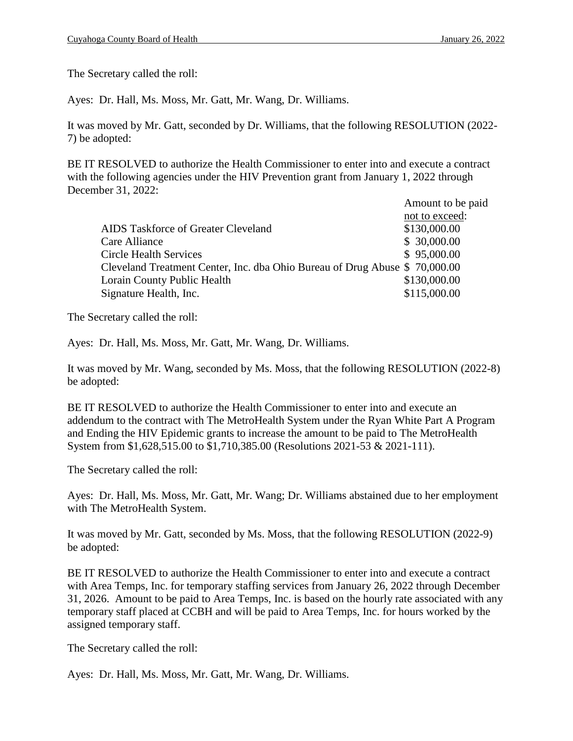The Secretary called the roll:

Ayes: Dr. Hall, Ms. Moss, Mr. Gatt, Mr. Wang, Dr. Williams.

It was moved by Mr. Gatt, seconded by Dr. Williams, that the following RESOLUTION (2022- 7) be adopted:

BE IT RESOLVED to authorize the Health Commissioner to enter into and execute a contract with the following agencies under the HIV Prevention grant from January 1, 2022 through December 31, 2022:

|                                                                            | Amount to be paid |
|----------------------------------------------------------------------------|-------------------|
|                                                                            | not to exceed:    |
| AIDS Taskforce of Greater Cleveland                                        | \$130,000.00      |
| Care Alliance                                                              | \$ 30,000.00      |
| <b>Circle Health Services</b>                                              | \$95,000.00       |
| Cleveland Treatment Center, Inc. dba Ohio Bureau of Drug Abuse \$70,000.00 |                   |
| Lorain County Public Health                                                | \$130,000.00      |
| Signature Health, Inc.                                                     | \$115,000.00      |
|                                                                            |                   |

The Secretary called the roll:

Ayes: Dr. Hall, Ms. Moss, Mr. Gatt, Mr. Wang, Dr. Williams.

It was moved by Mr. Wang, seconded by Ms. Moss, that the following RESOLUTION (2022-8) be adopted:

BE IT RESOLVED to authorize the Health Commissioner to enter into and execute an addendum to the contract with The MetroHealth System under the Ryan White Part A Program and Ending the HIV Epidemic grants to increase the amount to be paid to The MetroHealth System from \$1,628,515.00 to \$1,710,385.00 (Resolutions 2021-53 & 2021-111).

The Secretary called the roll:

Ayes: Dr. Hall, Ms. Moss, Mr. Gatt, Mr. Wang; Dr. Williams abstained due to her employment with The MetroHealth System.

It was moved by Mr. Gatt, seconded by Ms. Moss, that the following RESOLUTION (2022-9) be adopted:

BE IT RESOLVED to authorize the Health Commissioner to enter into and execute a contract with Area Temps, Inc. for temporary staffing services from January 26, 2022 through December 31, 2026. Amount to be paid to Area Temps, Inc. is based on the hourly rate associated with any temporary staff placed at CCBH and will be paid to Area Temps, Inc. for hours worked by the assigned temporary staff.

The Secretary called the roll:

Ayes: Dr. Hall, Ms. Moss, Mr. Gatt, Mr. Wang, Dr. Williams.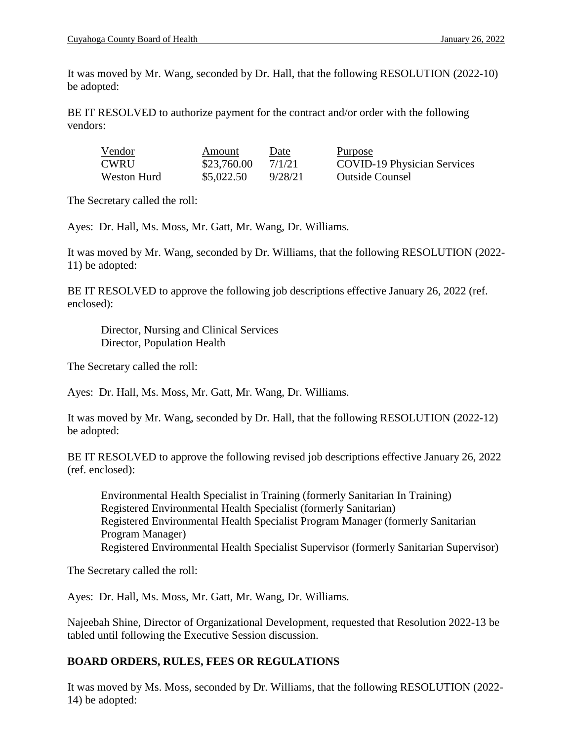It was moved by Mr. Wang, seconded by Dr. Hall, that the following RESOLUTION (2022-10) be adopted:

BE IT RESOLVED to authorize payment for the contract and/or order with the following vendors:

| Vendor      | Amount      | <u>Date</u> | <u>Purpose</u>                     |
|-------------|-------------|-------------|------------------------------------|
| CWRU        | \$23,760.00 | 7/1/21      | <b>COVID-19 Physician Services</b> |
| Weston Hurd | \$5,022.50  | 9/28/21     | <b>Outside Counsel</b>             |

The Secretary called the roll:

Ayes: Dr. Hall, Ms. Moss, Mr. Gatt, Mr. Wang, Dr. Williams.

It was moved by Mr. Wang, seconded by Dr. Williams, that the following RESOLUTION (2022- 11) be adopted:

BE IT RESOLVED to approve the following job descriptions effective January 26, 2022 (ref. enclosed):

Director, Nursing and Clinical Services Director, Population Health

The Secretary called the roll:

Ayes: Dr. Hall, Ms. Moss, Mr. Gatt, Mr. Wang, Dr. Williams.

It was moved by Mr. Wang, seconded by Dr. Hall, that the following RESOLUTION (2022-12) be adopted:

BE IT RESOLVED to approve the following revised job descriptions effective January 26, 2022 (ref. enclosed):

Environmental Health Specialist in Training (formerly Sanitarian In Training) Registered Environmental Health Specialist (formerly Sanitarian) Registered Environmental Health Specialist Program Manager (formerly Sanitarian Program Manager) Registered Environmental Health Specialist Supervisor (formerly Sanitarian Supervisor)

The Secretary called the roll:

Ayes: Dr. Hall, Ms. Moss, Mr. Gatt, Mr. Wang, Dr. Williams.

Najeebah Shine, Director of Organizational Development, requested that Resolution 2022-13 be tabled until following the Executive Session discussion.

# **BOARD ORDERS, RULES, FEES OR REGULATIONS**

It was moved by Ms. Moss, seconded by Dr. Williams, that the following RESOLUTION (2022- 14) be adopted: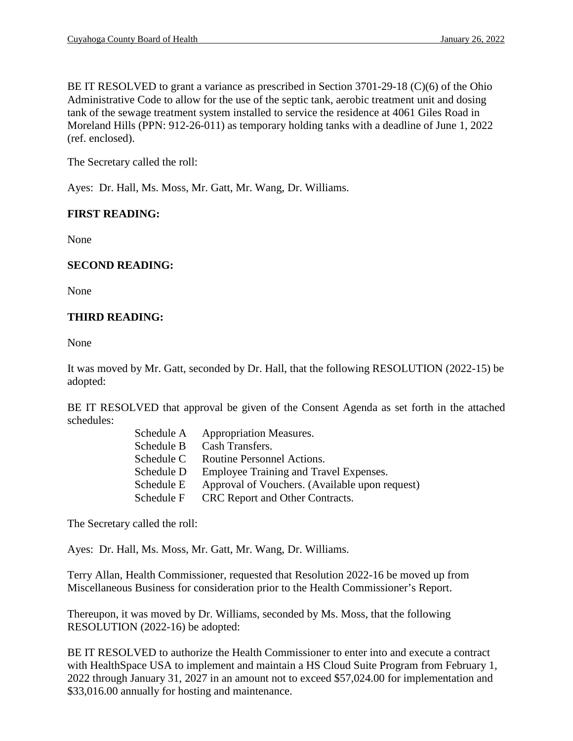BE IT RESOLVED to grant a variance as prescribed in Section 3701-29-18 (C)(6) of the Ohio Administrative Code to allow for the use of the septic tank, aerobic treatment unit and dosing tank of the sewage treatment system installed to service the residence at 4061 Giles Road in Moreland Hills (PPN: 912-26-011) as temporary holding tanks with a deadline of June 1, 2022 (ref. enclosed).

The Secretary called the roll:

Ayes: Dr. Hall, Ms. Moss, Mr. Gatt, Mr. Wang, Dr. Williams.

## **FIRST READING:**

None

## **SECOND READING:**

None

## **THIRD READING:**

None

It was moved by Mr. Gatt, seconded by Dr. Hall, that the following RESOLUTION (2022-15) be adopted:

BE IT RESOLVED that approval be given of the Consent Agenda as set forth in the attached schedules:

| Schedule A | <b>Appropriation Measures.</b>                 |
|------------|------------------------------------------------|
| Schedule B | Cash Transfers.                                |
| Schedule C | Routine Personnel Actions.                     |
| Schedule D | Employee Training and Travel Expenses.         |
| Schedule E | Approval of Vouchers. (Available upon request) |
| Schedule F | CRC Report and Other Contracts.                |

The Secretary called the roll:

Ayes: Dr. Hall, Ms. Moss, Mr. Gatt, Mr. Wang, Dr. Williams.

Terry Allan, Health Commissioner, requested that Resolution 2022-16 be moved up from Miscellaneous Business for consideration prior to the Health Commissioner's Report.

Thereupon, it was moved by Dr. Williams, seconded by Ms. Moss, that the following RESOLUTION (2022-16) be adopted:

BE IT RESOLVED to authorize the Health Commissioner to enter into and execute a contract with HealthSpace USA to implement and maintain a HS Cloud Suite Program from February 1, 2022 through January 31, 2027 in an amount not to exceed \$57,024.00 for implementation and \$33,016.00 annually for hosting and maintenance.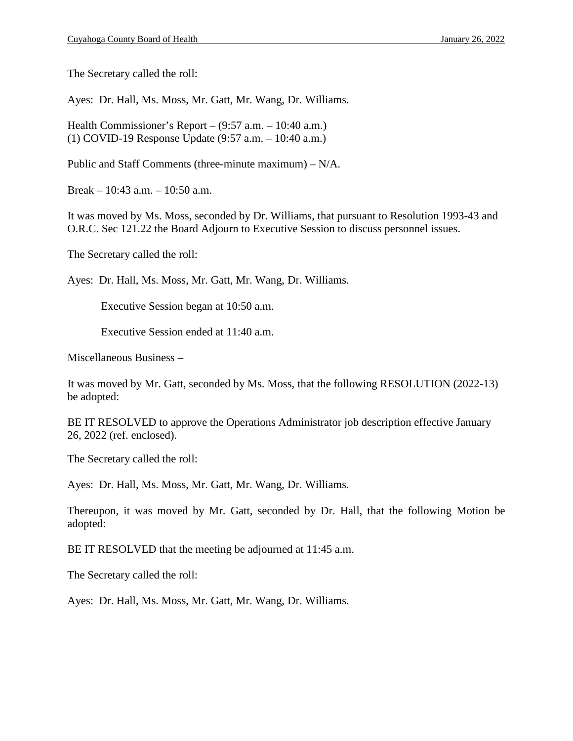The Secretary called the roll:

Ayes: Dr. Hall, Ms. Moss, Mr. Gatt, Mr. Wang, Dr. Williams.

Health Commissioner's Report – (9:57 a.m. – 10:40 a.m.) (1) COVID-19 Response Update (9:57 a.m. – 10:40 a.m.)

Public and Staff Comments (three-minute maximum) – N/A.

Break – 10:43 a.m. – 10:50 a.m.

It was moved by Ms. Moss, seconded by Dr. Williams, that pursuant to Resolution 1993-43 and O.R.C. Sec 121.22 the Board Adjourn to Executive Session to discuss personnel issues.

The Secretary called the roll:

Ayes: Dr. Hall, Ms. Moss, Mr. Gatt, Mr. Wang, Dr. Williams.

Executive Session began at 10:50 a.m.

Executive Session ended at 11:40 a.m.

Miscellaneous Business –

It was moved by Mr. Gatt, seconded by Ms. Moss, that the following RESOLUTION (2022-13) be adopted:

BE IT RESOLVED to approve the Operations Administrator job description effective January 26, 2022 (ref. enclosed).

The Secretary called the roll:

Ayes: Dr. Hall, Ms. Moss, Mr. Gatt, Mr. Wang, Dr. Williams.

Thereupon, it was moved by Mr. Gatt, seconded by Dr. Hall, that the following Motion be adopted:

BE IT RESOLVED that the meeting be adjourned at 11:45 a.m.

The Secretary called the roll:

Ayes: Dr. Hall, Ms. Moss, Mr. Gatt, Mr. Wang, Dr. Williams.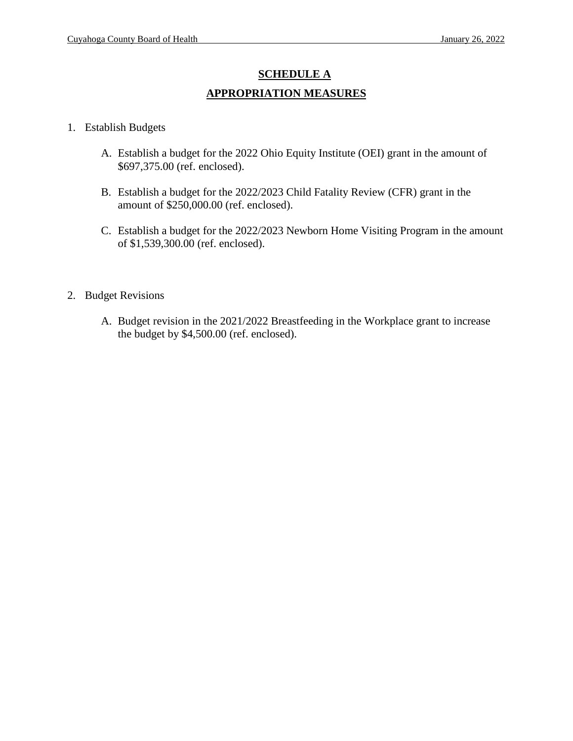# **SCHEDULE A APPROPRIATION MEASURES**

- 1. Establish Budgets
	- A. Establish a budget for the 2022 Ohio Equity Institute (OEI) grant in the amount of \$697,375.00 (ref. enclosed).
	- B. Establish a budget for the 2022/2023 Child Fatality Review (CFR) grant in the amount of \$250,000.00 (ref. enclosed).
	- C. Establish a budget for the 2022/2023 Newborn Home Visiting Program in the amount of \$1,539,300.00 (ref. enclosed).
- 2. Budget Revisions
	- A. Budget revision in the 2021/2022 Breastfeeding in the Workplace grant to increase the budget by \$4,500.00 (ref. enclosed).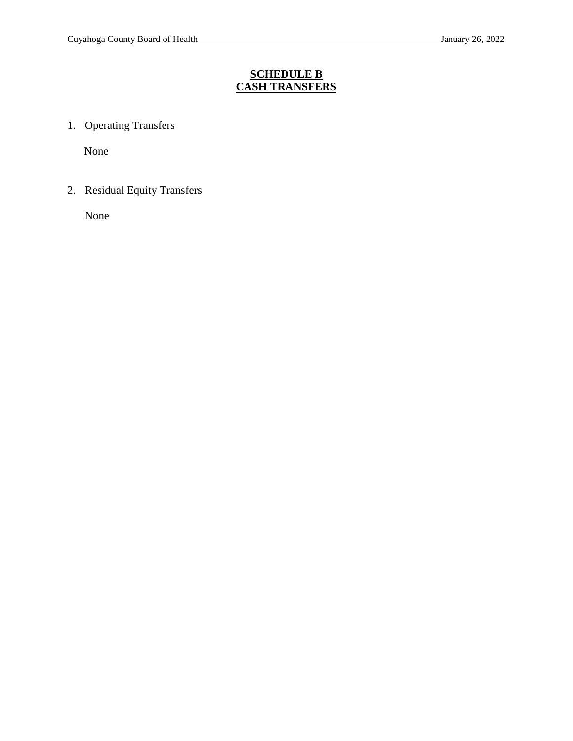## **SCHEDULE B CASH TRANSFERS**

1. Operating Transfers

None

2. Residual Equity Transfers

None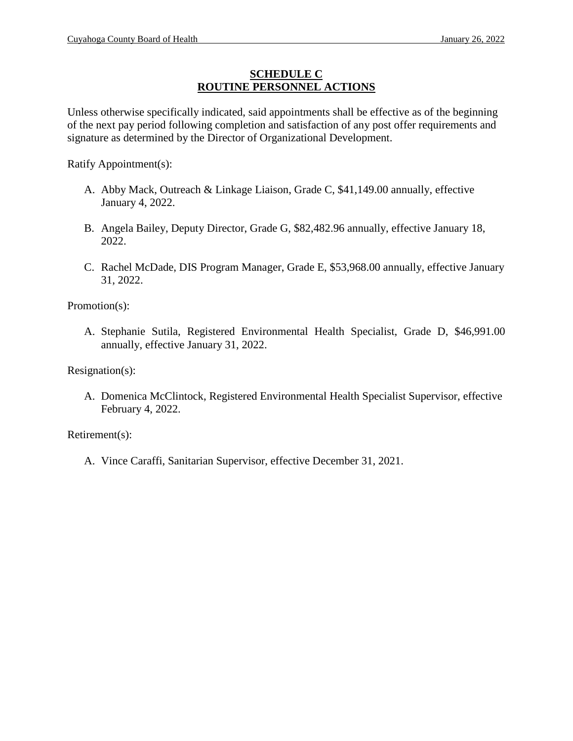#### **SCHEDULE C ROUTINE PERSONNEL ACTIONS**

Unless otherwise specifically indicated, said appointments shall be effective as of the beginning of the next pay period following completion and satisfaction of any post offer requirements and signature as determined by the Director of Organizational Development.

Ratify Appointment(s):

- A. Abby Mack, Outreach & Linkage Liaison, Grade C, \$41,149.00 annually, effective January 4, 2022.
- B. Angela Bailey, Deputy Director, Grade G, \$82,482.96 annually, effective January 18, 2022.
- C. Rachel McDade, DIS Program Manager, Grade E, \$53,968.00 annually, effective January 31, 2022.

Promotion(s):

A. Stephanie Sutila, Registered Environmental Health Specialist, Grade D, \$46,991.00 annually, effective January 31, 2022.

Resignation(s):

A. Domenica McClintock, Registered Environmental Health Specialist Supervisor, effective February 4, 2022.

Retirement(s):

A. Vince Caraffi, Sanitarian Supervisor, effective December 31, 2021.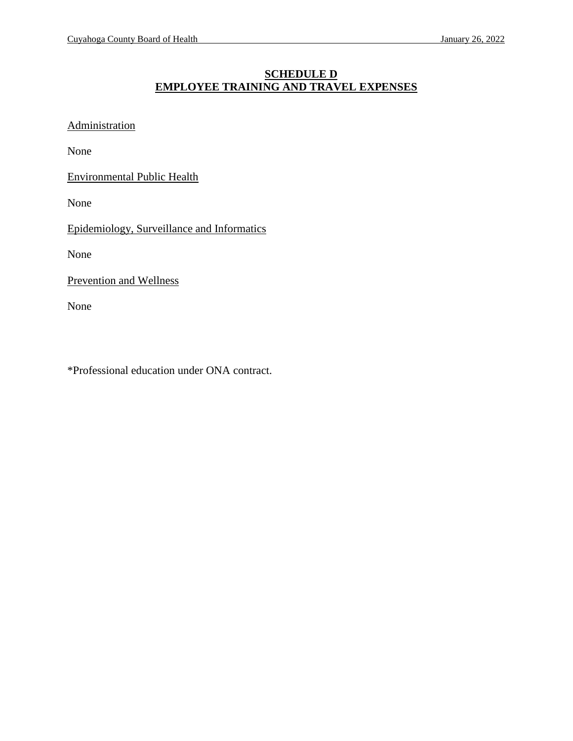## **SCHEDULE D EMPLOYEE TRAINING AND TRAVEL EXPENSES**

**Administration** 

None

Environmental Public Health

None

Epidemiology, Surveillance and Informatics

None

Prevention and Wellness

None

\*Professional education under ONA contract.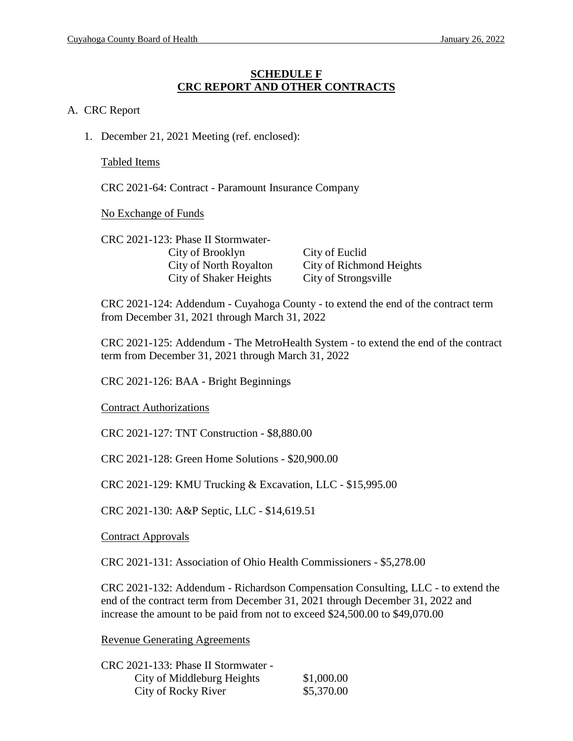#### **SCHEDULE F CRC REPORT AND OTHER CONTRACTS**

#### A. CRC Report

1. December 21, 2021 Meeting (ref. enclosed):

Tabled Items

CRC 2021-64: Contract - Paramount Insurance Company

No Exchange of Funds

CRC 2021-123: Phase II Stormwater-City of Brooklyn City of Euclid City of Shaker Heights City of Strongsville

City of North Royalton City of Richmond Heights

CRC 2021-124: Addendum - Cuyahoga County - to extend the end of the contract term from December 31, 2021 through March 31, 2022

CRC 2021-125: Addendum - The MetroHealth System - to extend the end of the contract term from December 31, 2021 through March 31, 2022

CRC 2021-126: BAA - Bright Beginnings

Contract Authorizations

CRC 2021-127: TNT Construction - \$8,880.00

CRC 2021-128: Green Home Solutions - \$20,900.00

CRC 2021-129: KMU Trucking & Excavation, LLC - \$15,995.00

CRC 2021-130: A&P Septic, LLC - \$14,619.51

Contract Approvals

CRC 2021-131: Association of Ohio Health Commissioners - \$5,278.00

CRC 2021-132: Addendum - Richardson Compensation Consulting, LLC - to extend the end of the contract term from December 31, 2021 through December 31, 2022 and increase the amount to be paid from not to exceed \$24,500.00 to \$49,070.00

Revenue Generating Agreements

| CRC 2021-133: Phase II Stormwater - |            |
|-------------------------------------|------------|
| City of Middleburg Heights          | \$1,000.00 |
| City of Rocky River                 | \$5,370.00 |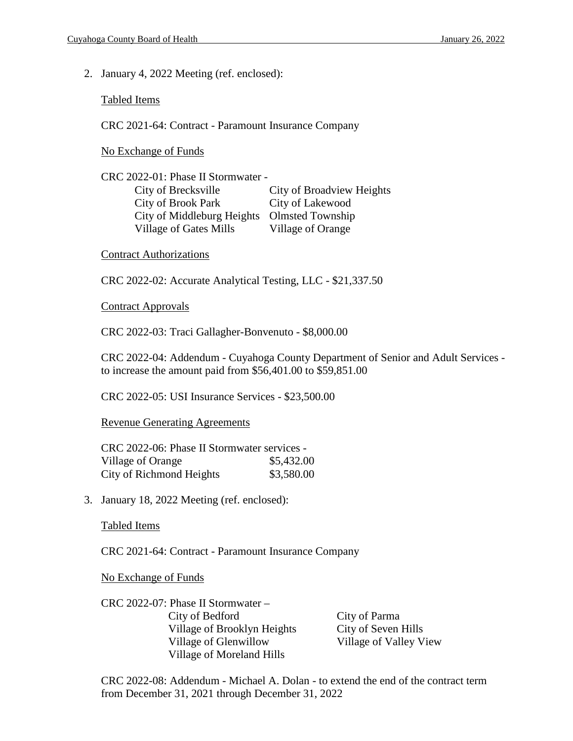2. January 4, 2022 Meeting (ref. enclosed):

Tabled Items

CRC 2021-64: Contract - Paramount Insurance Company

No Exchange of Funds

CRC 2022-01: Phase II Stormwater - City of Brecksville City of Broadview Heights City of Brook Park City of Lakewood City of Middleburg Heights Olmsted Township Village of Gates Mills Village of Orange

#### Contract Authorizations

CRC 2022-02: Accurate Analytical Testing, LLC - \$21,337.50

Contract Approvals

CRC 2022-03: Traci Gallagher-Bonvenuto - \$8,000.00

CRC 2022-04: Addendum - Cuyahoga County Department of Senior and Adult Services to increase the amount paid from \$56,401.00 to \$59,851.00

CRC 2022-05: USI Insurance Services - \$23,500.00

Revenue Generating Agreements

CRC 2022-06: Phase II Stormwater services - Village of Orange  $$5,432.00$ City of Richmond Heights  $$3,580.00$ 

3. January 18, 2022 Meeting (ref. enclosed):

Tabled Items

CRC 2021-64: Contract - Paramount Insurance Company

No Exchange of Funds

CRC 2022-07: Phase II Stormwater – City of Bedford City of Parma Village of Brooklyn Heights City of Seven Hills Village of Glenwillow Village of Valley View Village of Moreland Hills

CRC 2022-08: Addendum - Michael A. Dolan - to extend the end of the contract term from December 31, 2021 through December 31, 2022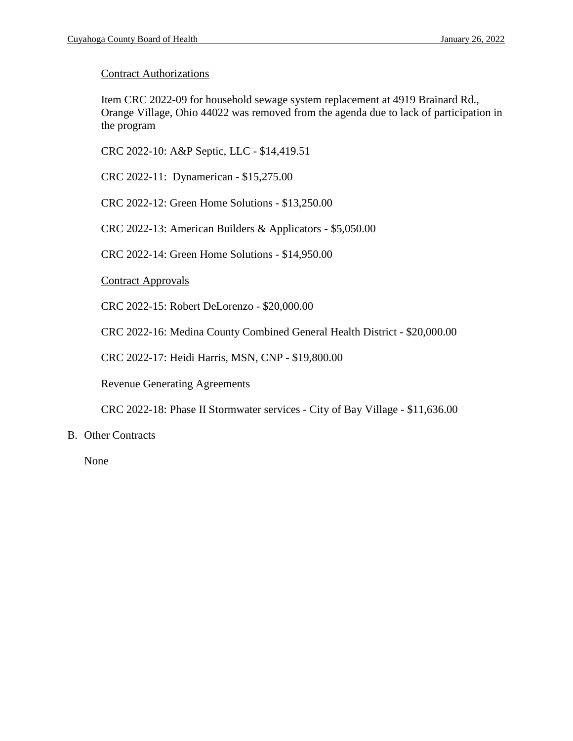#### Contract Authorizations

Item CRC 2022-09 for household sewage system replacement at 4919 Brainard Rd., Orange Village, Ohio 44022 was removed from the agenda due to lack of participation in the program

CRC 2022-10: A&P Septic, LLC - \$14,419.51

CRC 2022-11: Dynamerican - \$15,275.00

CRC 2022-12: Green Home Solutions - \$13,250.00

CRC 2022-13: American Builders & Applicators - \$5,050.00

CRC 2022-14: Green Home Solutions - \$14,950.00

Contract Approvals

CRC 2022-15: Robert DeLorenzo - \$20,000.00

CRC 2022-16: Medina County Combined General Health District - \$20,000.00

CRC 2022-17: Heidi Harris, MSN, CNP - \$19,800.00

Revenue Generating Agreements

CRC 2022-18: Phase II Stormwater services - City of Bay Village - \$11,636.00

#### B. Other Contracts

None